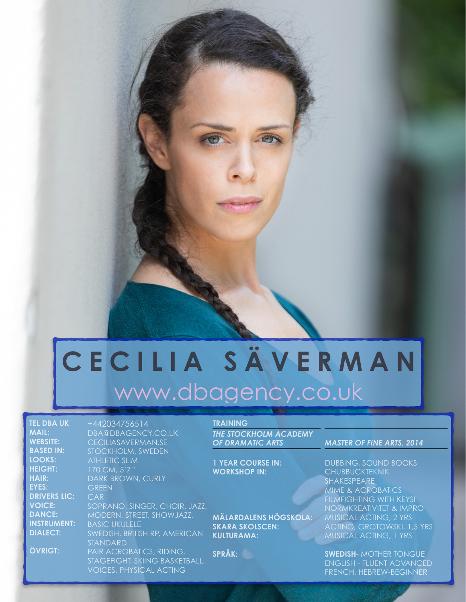# **CECILIA SÄVERMAN** [www.dbagency.co.uk](http://www.dbagency.co.uk/cecilia-saverman)

**TEL DBA UK MAIL: WEBSITE: BASED IN: LOOKS: HEIGHT: HAIR: EYES: DRIVERS LIC: VOICE: DANCE: INSTRUMENT: DIALECT:**

**ÖVRIGT:**

DBA@DBAGENCY.CO.UK [CECILIASAVERMAN.SE](http://ceciliasaverman.se) STOCKHOLM, SWEDEN ATHLETIC SLIM 170 CM, 5'7'' DARK BROWN, CURLY **GREEN** SOPRANO, SINGER, CHOIR, JAZZ, MODERN, STREET, SHOWJAZZ, BASIC UKULELE SWEDISH, BRITISH RP, AMERICAN STANDARD PAIR ACROBATICS, RIDING, STAGEFIGHT, SKIING BASKETBALL, **VOICES, PHYSICAL ACTING** 

+442034756514

#### **TRAINING**

*THE STOCKHOLM ACADEMY*  **OF DRAMATIC ARTS** 

**1 YEAR COURSE IN: WORKSHOP IN:**

**MÄLARDALENS HÖGSKOLA: SKARA SKOLSCEN: KULTURAMA:**

**SPRÅK:**

1 (2)

#### *MASTER OF FINE ARTS, 2014*

DUBBING, SOUND BOOKS **CHUBBUCKTEKNIK** SHAKESPEARE MIME & ACROBATICS FILMFIGHTING WITH KEYSI NORMKREATIVITET & IMPRO MUSICAL ACTING, 2 YRS ACTING, GROTOWSKI, 1,5 YRS MUSICAL ACTING, 1 YRS

**SWEDISH- MOTHER TONGUE** ENGLISH - FLUENT ADVANCED FRENCH, HEBREW-BEGINNER